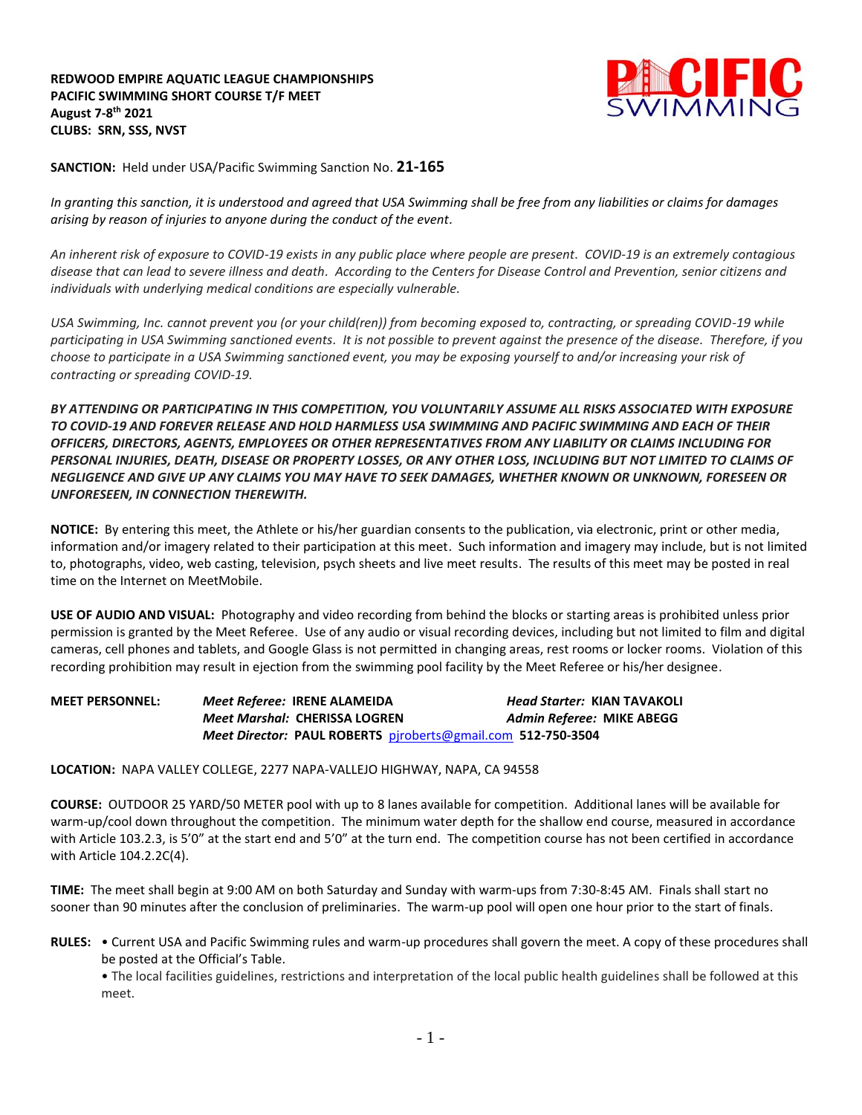**REDWOOD EMPIRE AQUATIC LEAGUE CHAMPIONSHIPS PACIFIC SWIMMING SHORT COURSE T/F MEET August 7-8 th 2021 CLUBS: SRN, SSS, NVST**



**SANCTION:** Held under USA/Pacific Swimming Sanction No. **21-165**

*In granting this sanction, it is understood and agreed that USA Swimming shall be free from any liabilities or claims for damages arising by reason of injuries to anyone during the conduct of the event.*

*An inherent risk of exposure to COVID-19 exists in any public place where people are present. COVID-19 is an extremely contagious disease that can lead to severe illness and death. According to the Centers for Disease Control and Prevention, senior citizens and individuals with underlying medical conditions are especially vulnerable.*

*USA Swimming, Inc. cannot prevent you (or your child(ren)) from becoming exposed to, contracting, or spreading COVID-19 while participating in USA Swimming sanctioned events. It is not possible to prevent against the presence of the disease. Therefore, if you choose to participate in a USA Swimming sanctioned event, you may be exposing yourself to and/or increasing your risk of contracting or spreading COVID-19.*

*BY ATTENDING OR PARTICIPATING IN THIS COMPETITION, YOU VOLUNTARILY ASSUME ALL RISKS ASSOCIATED WITH EXPOSURE TO COVID-19 AND FOREVER RELEASE AND HOLD HARMLESS USA SWIMMING AND PACIFIC SWIMMING AND EACH OF THEIR OFFICERS, DIRECTORS, AGENTS, EMPLOYEES OR OTHER REPRESENTATIVES FROM ANY LIABILITY OR CLAIMS INCLUDING FOR PERSONAL INJURIES, DEATH, DISEASE OR PROPERTY LOSSES, OR ANY OTHER LOSS, INCLUDING BUT NOT LIMITED TO CLAIMS OF NEGLIGENCE AND GIVE UP ANY CLAIMS YOU MAY HAVE TO SEEK DAMAGES, WHETHER KNOWN OR UNKNOWN, FORESEEN OR UNFORESEEN, IN CONNECTION THEREWITH.*

**NOTICE:** By entering this meet, the Athlete or his/her guardian consents to the publication, via electronic, print or other media, information and/or imagery related to their participation at this meet. Such information and imagery may include, but is not limited to, photographs, video, web casting, television, psych sheets and live meet results. The results of this meet may be posted in real time on the Internet on MeetMobile.

**USE OF AUDIO AND VISUAL:** Photography and video recording from behind the blocks or starting areas is prohibited unless prior permission is granted by the Meet Referee. Use of any audio or visual recording devices, including but not limited to film and digital cameras, cell phones and tablets, and Google Glass is not permitted in changing areas, rest rooms or locker rooms. Violation of this recording prohibition may result in ejection from the swimming pool facility by the Meet Referee or his/her designee.

**MEET PERSONNEL:** *Meet Referee:* **IRENE ALAMEIDA** *Head Starter:* **KIAN TAVAKOLI** *Meet Marshal:* **CHERISSA LOGREN** *Admin Referee:* **MIKE ABEGG** *Meet Director:* **PAUL ROBERTS** [pjroberts@gmail.com](mailto:pjroberts@gmail.com) **512-750-3504**

**LOCATION:** NAPA VALLEY COLLEGE, 2277 NAPA-VALLEJO HIGHWAY, NAPA, CA 94558

**COURSE:** OUTDOOR 25 YARD/50 METER pool with up to 8 lanes available for competition. Additional lanes will be available for warm-up/cool down throughout the competition. The minimum water depth for the shallow end course, measured in accordance with Article 103.2.3, is 5'0" at the start end and 5'0" at the turn end. The competition course has not been certified in accordance with Article 104.2.2C(4).

**TIME:** The meet shall begin at 9:00 AM on both Saturday and Sunday with warm-ups from 7:30-8:45 AM. Finals shall start no sooner than 90 minutes after the conclusion of preliminaries. The warm-up pool will open one hour prior to the start of finals.

**RULES:** • Current USA and Pacific Swimming rules and warm-up procedures shall govern the meet. A copy of these procedures shall be posted at the Official's Table.

• The local facilities guidelines, restrictions and interpretation of the local public health guidelines shall be followed at this meet.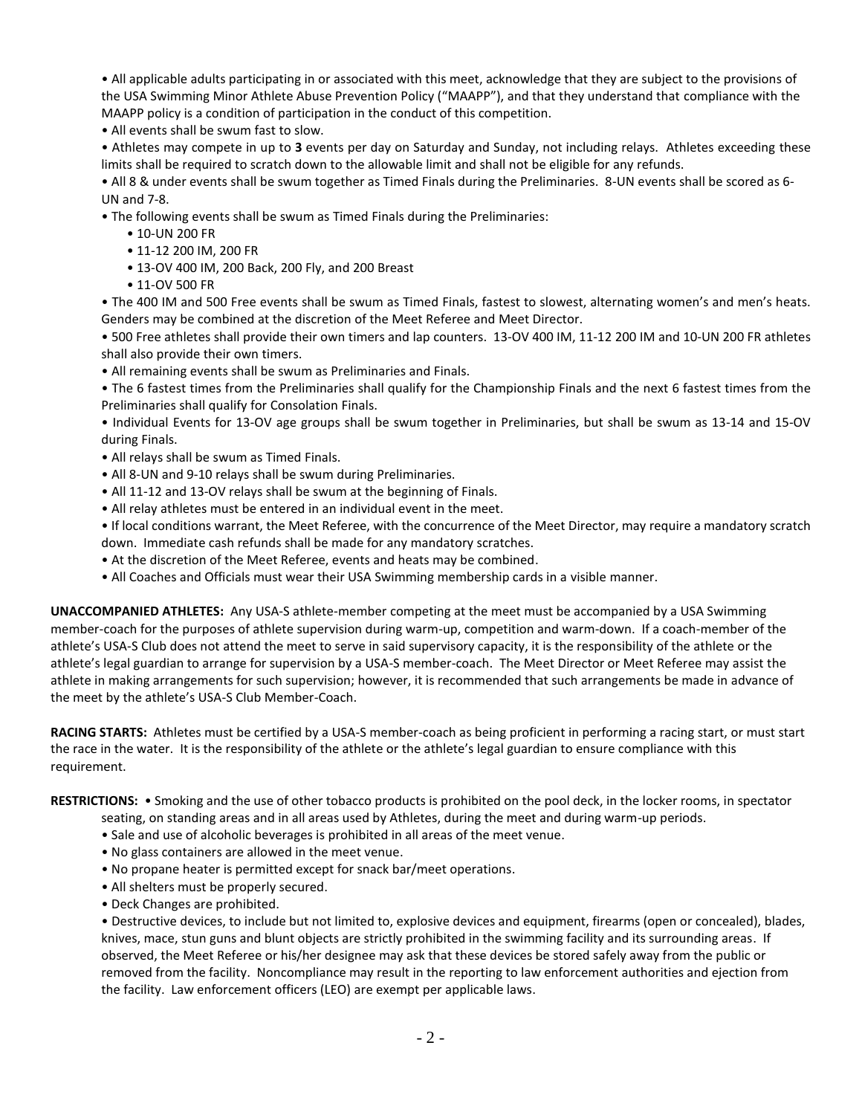• All applicable adults participating in or associated with this meet, acknowledge that they are subject to the provisions of the USA Swimming Minor Athlete Abuse Prevention Policy ("MAAPP"), and that they understand that compliance with the MAAPP policy is a condition of participation in the conduct of this competition.

• All events shall be swum fast to slow.

• Athletes may compete in up to **3** events per day on Saturday and Sunday, not including relays. Athletes exceeding these limits shall be required to scratch down to the allowable limit and shall not be eligible for any refunds.

• All 8 & under events shall be swum together as Timed Finals during the Preliminaries. 8-UN events shall be scored as 6- UN and 7-8.

• The following events shall be swum as Timed Finals during the Preliminaries:

- 10-UN 200 FR
- 11-12 200 IM, 200 FR
- 13-OV 400 IM, 200 Back, 200 Fly, and 200 Breast
- 11-OV 500 FR

• The 400 IM and 500 Free events shall be swum as Timed Finals, fastest to slowest, alternating women's and men's heats. Genders may be combined at the discretion of the Meet Referee and Meet Director.

• 500 Free athletes shall provide their own timers and lap counters. 13-OV 400 IM, 11-12 200 IM and 10-UN 200 FR athletes shall also provide their own timers.

• All remaining events shall be swum as Preliminaries and Finals.

• The 6 fastest times from the Preliminaries shall qualify for the Championship Finals and the next 6 fastest times from the Preliminaries shall qualify for Consolation Finals.

• Individual Events for 13-OV age groups shall be swum together in Preliminaries, but shall be swum as 13-14 and 15-OV during Finals.

- All relays shall be swum as Timed Finals.
- All 8-UN and 9-10 relays shall be swum during Preliminaries.
- All 11-12 and 13-OV relays shall be swum at the beginning of Finals.
- All relay athletes must be entered in an individual event in the meet.

• If local conditions warrant, the Meet Referee, with the concurrence of the Meet Director, may require a mandatory scratch down. Immediate cash refunds shall be made for any mandatory scratches.

- At the discretion of the Meet Referee, events and heats may be combined.
- All Coaches and Officials must wear their USA Swimming membership cards in a visible manner.

**UNACCOMPANIED ATHLETES:** Any USA-S athlete-member competing at the meet must be accompanied by a USA Swimming member-coach for the purposes of athlete supervision during warm-up, competition and warm-down. If a coach-member of the athlete's USA-S Club does not attend the meet to serve in said supervisory capacity, it is the responsibility of the athlete or the athlete's legal guardian to arrange for supervision by a USA-S member-coach. The Meet Director or Meet Referee may assist the athlete in making arrangements for such supervision; however, it is recommended that such arrangements be made in advance of the meet by the athlete's USA-S Club Member-Coach.

**RACING STARTS:** Athletes must be certified by a USA-S member-coach as being proficient in performing a racing start, or must start the race in the water. It is the responsibility of the athlete or the athlete's legal guardian to ensure compliance with this requirement.

**RESTRICTIONS:** • Smoking and the use of other tobacco products is prohibited on the pool deck, in the locker rooms, in spectator

- seating, on standing areas and in all areas used by Athletes, during the meet and during warm-up periods.
- Sale and use of alcoholic beverages is prohibited in all areas of the meet venue.
- No glass containers are allowed in the meet venue.
- No propane heater is permitted except for snack bar/meet operations.
- All shelters must be properly secured.
- Deck Changes are prohibited.

• Destructive devices, to include but not limited to, explosive devices and equipment, firearms (open or concealed), blades, knives, mace, stun guns and blunt objects are strictly prohibited in the swimming facility and its surrounding areas. If observed, the Meet Referee or his/her designee may ask that these devices be stored safely away from the public or removed from the facility. Noncompliance may result in the reporting to law enforcement authorities and ejection from the facility. Law enforcement officers (LEO) are exempt per applicable laws.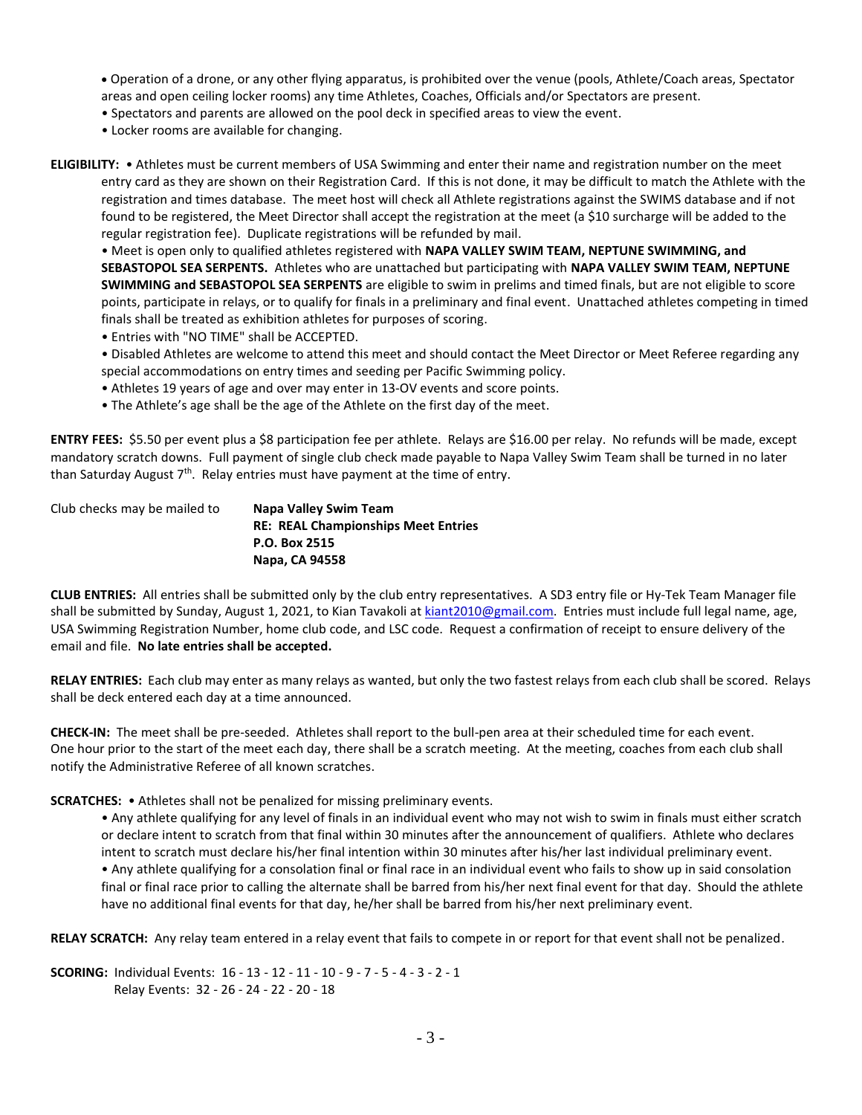- Operation of a drone, or any other flying apparatus, is prohibited over the venue (pools, Athlete/Coach areas, Spectator areas and open ceiling locker rooms) any time Athletes, Coaches, Officials and/or Spectators are present.
- Spectators and parents are allowed on the pool deck in specified areas to view the event.
- Locker rooms are available for changing.
- **ELIGIBILITY:**  Athletes must be current members of USA Swimming and enter their name and registration number on the meet entry card as they are shown on their Registration Card. If this is not done, it may be difficult to match the Athlete with the registration and times database. The meet host will check all Athlete registrations against the SWIMS database and if not found to be registered, the Meet Director shall accept the registration at the meet (a \$10 surcharge will be added to the regular registration fee). Duplicate registrations will be refunded by mail.

• Meet is open only to qualified athletes registered with **NAPA VALLEY SWIM TEAM, NEPTUNE SWIMMING, and SEBASTOPOL SEA SERPENTS.** Athletes who are unattached but participating with **NAPA VALLEY SWIM TEAM, NEPTUNE SWIMMING and SEBASTOPOL SEA SERPENTS** are eligible to swim in prelims and timed finals, but are not eligible to score points, participate in relays, or to qualify for finals in a preliminary and final event. Unattached athletes competing in timed finals shall be treated as exhibition athletes for purposes of scoring.

- Entries with "NO TIME" shall be ACCEPTED.
- Disabled Athletes are welcome to attend this meet and should contact the Meet Director or Meet Referee regarding any special accommodations on entry times and seeding per Pacific Swimming policy.
- Athletes 19 years of age and over may enter in 13-OV events and score points.
- The Athlete's age shall be the age of the Athlete on the first day of the meet.

**ENTRY FEES:** \$5.50 per event plus a \$8 participation fee per athlete. Relays are \$16.00 per relay. No refunds will be made, except mandatory scratch downs. Full payment of single club check made payable to Napa Valley Swim Team shall be turned in no later than Saturday August 7<sup>th</sup>. Relay entries must have payment at the time of entry.

| Club checks may be mailed to | Napa Valley Swim Team                      |  |  |
|------------------------------|--------------------------------------------|--|--|
|                              | <b>RE: REAL Championships Meet Entries</b> |  |  |
|                              | P.O. Box 2515                              |  |  |
|                              | Napa, CA 94558                             |  |  |

**CLUB ENTRIES:** All entries shall be submitted only by the club entry representatives. A SD3 entry file or Hy-Tek Team Manager file shall be submitted by Sunday, August 1, 2021, to Kian Tavakoli at [kiant2010@gmail.com.](mailto:kiant2010@gmail.com) Entries must include full legal name, age, USA Swimming Registration Number, home club code, and LSC code. Request a confirmation of receipt to ensure delivery of the email and file. **No late entries shall be accepted.**

**RELAY ENTRIES:** Each club may enter as many relays as wanted, but only the two fastest relays from each club shall be scored. Relays shall be deck entered each day at a time announced.

**CHECK-IN:** The meet shall be pre-seeded. Athletes shall report to the bull-pen area at their scheduled time for each event. One hour prior to the start of the meet each day, there shall be a scratch meeting. At the meeting, coaches from each club shall notify the Administrative Referee of all known scratches.

**SCRATCHES:** • Athletes shall not be penalized for missing preliminary events.

• Any athlete qualifying for any level of finals in an individual event who may not wish to swim in finals must either scratch or declare intent to scratch from that final within 30 minutes after the announcement of qualifiers. Athlete who declares intent to scratch must declare his/her final intention within 30 minutes after his/her last individual preliminary event. • Any athlete qualifying for a consolation final or final race in an individual event who fails to show up in said consolation final or final race prior to calling the alternate shall be barred from his/her next final event for that day. Should the athlete have no additional final events for that day, he/her shall be barred from his/her next preliminary event.

**RELAY SCRATCH:** Any relay team entered in a relay event that fails to compete in or report for that event shall not be penalized.

**SCORING:** Individual Events: 16 - 13 - 12 - 11 - 10 - 9 - 7 - 5 - 4 - 3 - 2 - 1 Relay Events: 32 - 26 - 24 - 22 - 20 - 18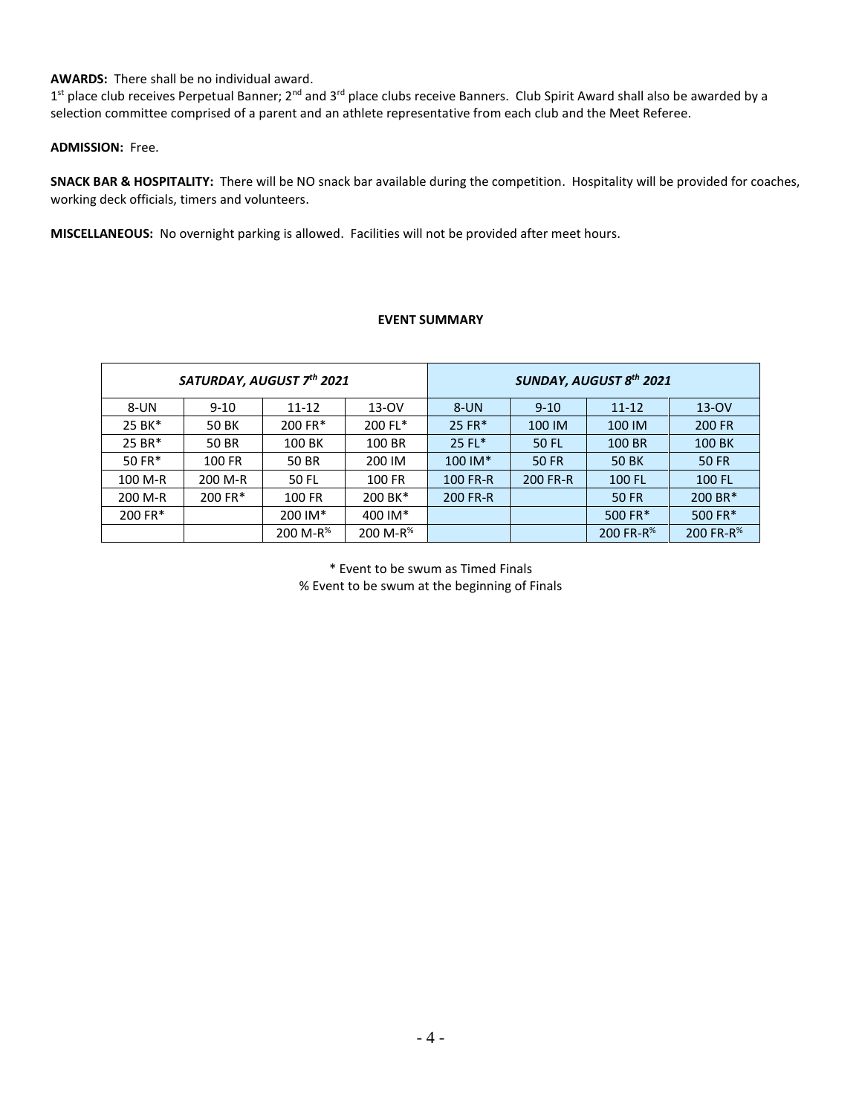## **AWARDS:** There shall be no individual award.

1<sup>st</sup> place club receives Perpetual Banner; 2<sup>nd</sup> and 3<sup>rd</sup> place clubs receive Banners. Club Spirit Award shall also be awarded by a selection committee comprised of a parent and an athlete representative from each club and the Meet Referee.

## **ADMISSION:** Free.

**SNACK BAR & HOSPITALITY:** There will be NO snack bar available during the competition. Hospitality will be provided for coaches, working deck officials, timers and volunteers.

**MISCELLANEOUS:** No overnight parking is allowed. Facilities will not be provided after meet hours.

## **EVENT SUMMARY**

| SATURDAY, AUGUST 7th 2021 |          |                      | <b>SUNDAY, AUGUST 8th 2021</b> |          |              |                       |                       |
|---------------------------|----------|----------------------|--------------------------------|----------|--------------|-----------------------|-----------------------|
| 8-UN                      | $9 - 10$ | 11-12                | $13-OV$                        | 8-UN     | $9 - 10$     | $11 - 12$             | $13-0V$               |
| 25 BK*                    | 50 BK    | 200 FR*              | 200 FL*                        | 25 FR*   | 100 IM       | 100 IM                | 200 FR                |
| 25 BR*                    | 50 BR    | 100 BK               | 100 BR                         | $25$ FL* | <b>50 FL</b> | 100 BR                | 100 BK                |
| 50 FR*                    | 100 FR   | 50 BR                | 200 IM                         | 100 IM*  | 50 FR        | <b>50 BK</b>          | <b>50 FR</b>          |
| 100 M-R                   | 200 M-R  | 50 FL                | 100 FR                         | 100 FR-R | 200 FR-R     | 100 FL                | 100 FL                |
| 200 M-R                   | 200 FR*  | 100 FR               | 200 BK*                        | 200 FR-R |              | 50 FR                 | 200 BR*               |
| 200 FR*                   |          | 200 IM*              | 400 IM*                        |          |              | 500 FR*               | 500 FR*               |
|                           |          | 200 M-R <sup>%</sup> | 200 M-R <sup>%</sup>           |          |              | 200 FR-R <sup>%</sup> | 200 FR-R <sup>%</sup> |

\* Event to be swum as Timed Finals % Event to be swum at the beginning of Finals